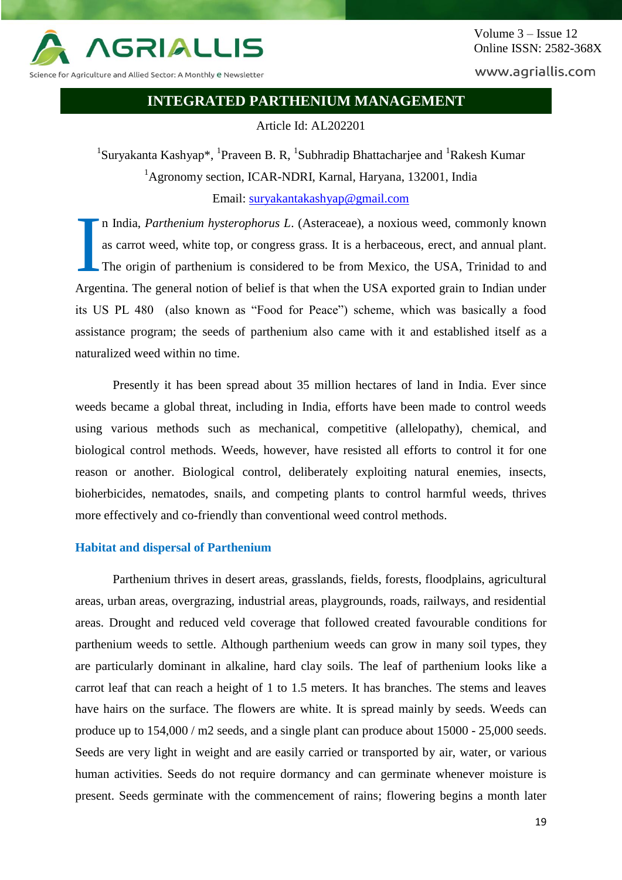

www.agriallis.com

## **INTEGRATED PARTHENIUM MANAGEMENT**

Article Id: AL202201

<sup>1</sup>Suryakanta Kashyap\*, <sup>1</sup>Praveen B. R, <sup>1</sup>Subhradip Bhattacharjee and <sup>1</sup>Rakesh Kumar <sup>1</sup>Agronomy section, ICAR-NDRI, Karnal, Haryana, 132001, India Email: [suryakantakashyap@gmail.com](mailto:suryakantakashyap@gmail.com)

n India, *Parthenium hysterophorus L*. (Asteraceae), a noxious weed, commonly known as carrot weed, white top, or congress grass. It is a herbaceous, erect, and annual plant. The origin of parthenium is considered to be from Mexico, the USA, Trinidad to and Argentina. The general notion of belief is that when the USA exported grain to Indian under its US PL 480 (also known as "Food for Peace") scheme, which was basically a food assistance program; the seeds of parthenium also came with it and established itself as a naturalized weed within no time. I

Presently it has been spread about 35 million hectares of land in India. Ever since weeds became a global threat, including in India, efforts have been made to control weeds using various methods such as mechanical, competitive (allelopathy), chemical, and biological control methods. Weeds, however, have resisted all efforts to control it for one reason or another. Biological control, deliberately exploiting natural enemies, insects, bioherbicides, nematodes, snails, and competing plants to control harmful weeds, thrives more effectively and co-friendly than conventional weed control methods.

## **Habitat and dispersal of Parthenium**

Parthenium thrives in desert areas, grasslands, fields, forests, floodplains, agricultural areas, urban areas, overgrazing, industrial areas, playgrounds, roads, railways, and residential areas. Drought and reduced veld coverage that followed created favourable conditions for parthenium weeds to settle. Although parthenium weeds can grow in many soil types, they are particularly dominant in alkaline, hard clay soils. The leaf of parthenium looks like a carrot leaf that can reach a height of 1 to 1.5 meters. It has branches. The stems and leaves have hairs on the surface. The flowers are white. It is spread mainly by seeds. Weeds can produce up to 154,000 / m2 seeds, and a single plant can produce about 15000 - 25,000 seeds. Seeds are very light in weight and are easily carried or transported by air, water, or various human activities. Seeds do not require dormancy and can germinate whenever moisture is present. Seeds germinate with the commencement of rains; flowering begins a month later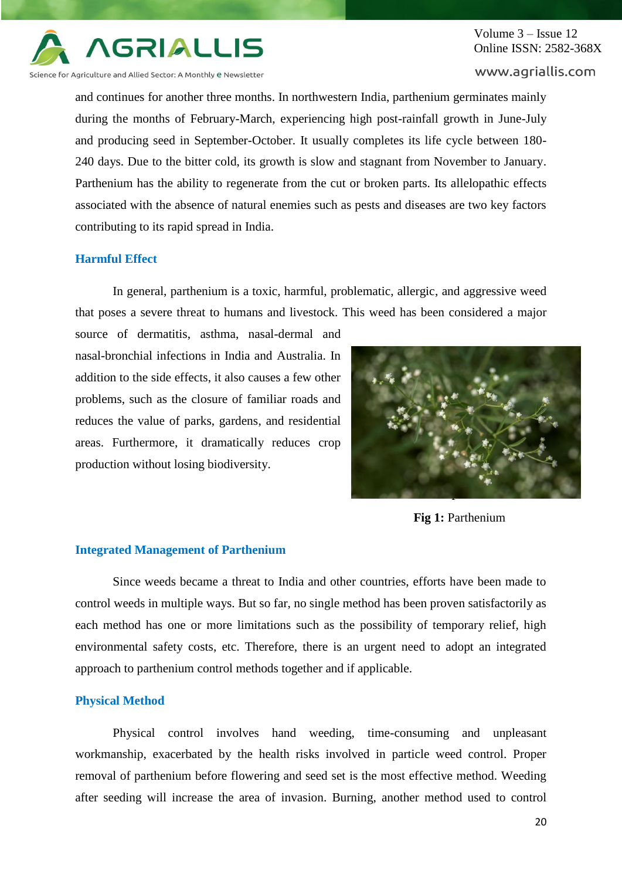

# Volume 3 – Issue 12 Online ISSN: 2582-368X

www.agriallis.com

and continues for another three months. In northwestern India, parthenium germinates mainly during the months of February-March, experiencing high post-rainfall growth in June-July and producing seed in September-October. It usually completes its life cycle between 180- 240 days. Due to the bitter cold, its growth is slow and stagnant from November to January. Parthenium has the ability to regenerate from the cut or broken parts. Its allelopathic effects associated with the absence of natural enemies such as pests and diseases are two key factors contributing to its rapid spread in India.

## **Harmful Effect**

In general, parthenium is a toxic, harmful, problematic, allergic, and aggressive weed that poses a severe threat to humans and livestock. This weed has been considered a major

source of dermatitis, asthma, nasal-dermal and nasal-bronchial infections in India and Australia. In addition to the side effects, it also causes a few other problems, such as the closure of familiar roads and reduces the value of parks, gardens, and residential areas. Furthermore, it dramatically reduces crop production without losing biodiversity.



**Fig 1:** Parthenium

### **Integrated Management of Parthenium**

Since weeds became a threat to India and other countries, efforts have been made to control weeds in multiple ways. But so far, no single method has been proven satisfactorily as each method has one or more limitations such as the possibility of temporary relief, high environmental safety costs, etc. Therefore, there is an urgent need to adopt an integrated approach to parthenium control methods together and if applicable.

### **Physical Method**

Physical control involves hand weeding, time-consuming and unpleasant workmanship, exacerbated by the health risks involved in particle weed control. Proper removal of parthenium before flowering and seed set is the most effective method. Weeding after seeding will increase the area of invasion. Burning, another method used to control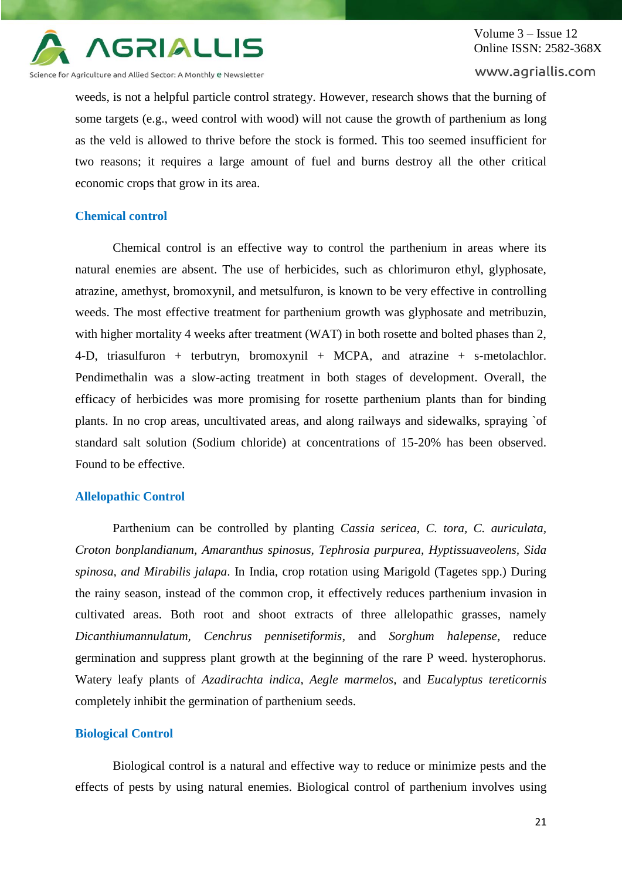

## Volume 3 – Issue 12 Online ISSN: 2582-368X

#### www.agriallis.com

weeds, is not a helpful particle control strategy. However, research shows that the burning of some targets (e.g., weed control with wood) will not cause the growth of parthenium as long as the veld is allowed to thrive before the stock is formed. This too seemed insufficient for two reasons; it requires a large amount of fuel and burns destroy all the other critical economic crops that grow in its area.

#### **Chemical control**

Chemical control is an effective way to control the parthenium in areas where its natural enemies are absent. The use of herbicides, such as chlorimuron ethyl, glyphosate, atrazine, amethyst, bromoxynil, and metsulfuron, is known to be very effective in controlling weeds. The most effective treatment for parthenium growth was glyphosate and metribuzin, with higher mortality 4 weeks after treatment (WAT) in both rosette and bolted phases than 2, 4-D, triasulfuron + terbutryn, bromoxynil + MCPA, and atrazine + s-metolachlor. Pendimethalin was a slow-acting treatment in both stages of development. Overall, the efficacy of herbicides was more promising for rosette parthenium plants than for binding plants. In no crop areas, uncultivated areas, and along railways and sidewalks, spraying `of standard salt solution (Sodium chloride) at concentrations of 15-20% has been observed. Found to be effective.

#### **Allelopathic Control**

Parthenium can be controlled by planting *Cassia sericea, C. tora, C. auriculata, Croton bonplandianum, Amaranthus spinosus, Tephrosia purpurea, Hyptissuaveolens, Sida spinosa, and Mirabilis jalapa*. In India, crop rotation using Marigold (Tagetes spp.) During the rainy season, instead of the common crop, it effectively reduces parthenium invasion in cultivated areas. Both root and shoot extracts of three allelopathic grasses, namely *Dicanthiumannulatum, Cenchrus pennisetiformis*, and *Sorghum halepense*, reduce germination and suppress plant growth at the beginning of the rare P weed. hysterophorus. Watery leafy plants of *Azadirachta indica*, *Aegle marmelos*, and *Eucalyptus tereticornis* completely inhibit the germination of parthenium seeds.

#### **Biological Control**

Biological control is a natural and effective way to reduce or minimize pests and the effects of pests by using natural enemies. Biological control of parthenium involves using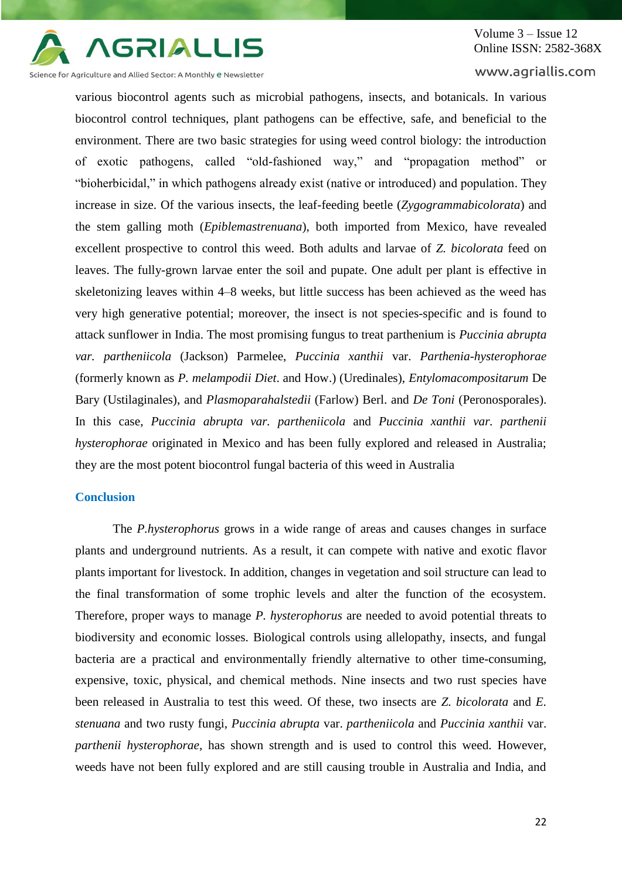

# Volume 3 – Issue 12 Online ISSN: 2582-368X

www.agriallis.com

various biocontrol agents such as microbial pathogens, insects, and botanicals. In various biocontrol control techniques, plant pathogens can be effective, safe, and beneficial to the environment. There are two basic strategies for using weed control biology: the introduction of exotic pathogens, called "old-fashioned way," and "propagation method" or "bioherbicidal," in which pathogens already exist (native or introduced) and population. They increase in size. Of the various insects, the leaf-feeding beetle (*Zygogrammabicolorata*) and the stem galling moth (*Epiblemastrenuana*), both imported from Mexico, have revealed excellent prospective to control this weed. Both adults and larvae of *Z. bicolorata* feed on leaves. The fully-grown larvae enter the soil and pupate. One adult per plant is effective in skeletonizing leaves within 4–8 weeks, but little success has been achieved as the weed has very high generative potential; moreover, the insect is not species-specific and is found to attack sunflower in India. The most promising fungus to treat parthenium is *Puccinia abrupta var. partheniicola* (Jackson) Parmelee, *Puccinia xanthii* var. *Parthenia-hysterophorae* (formerly known as *P. melampodii Diet*. and How.) (Uredinales), *Entylomacompositarum* De Bary (Ustilaginales), and *Plasmoparahalstedii* (Farlow) Berl. and *De Toni* (Peronosporales). In this case, *Puccinia abrupta var. partheniicola* and *Puccinia xanthii var. parthenii hysterophorae* originated in Mexico and has been fully explored and released in Australia; they are the most potent biocontrol fungal bacteria of this weed in Australia

## **Conclusion**

The *P.hysterophorus* grows in a wide range of areas and causes changes in surface plants and underground nutrients. As a result, it can compete with native and exotic flavor plants important for livestock. In addition, changes in vegetation and soil structure can lead to the final transformation of some trophic levels and alter the function of the ecosystem. Therefore, proper ways to manage *P. hysterophorus* are needed to avoid potential threats to biodiversity and economic losses. Biological controls using allelopathy, insects, and fungal bacteria are a practical and environmentally friendly alternative to other time-consuming, expensive, toxic, physical, and chemical methods. Nine insects and two rust species have been released in Australia to test this weed. Of these, two insects are *Z. bicolorata* and *E. stenuana* and two rusty fungi, *Puccinia abrupta* var. *partheniicola* and *Puccinia xanthii* var. *parthenii hysterophorae*, has shown strength and is used to control this weed. However, weeds have not been fully explored and are still causing trouble in Australia and India, and